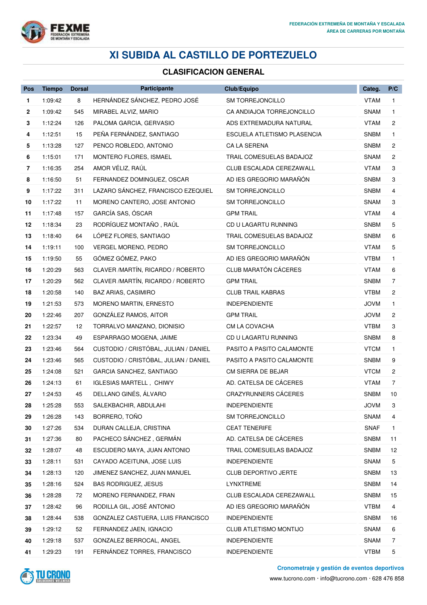

## **XI SUBIDA AL CASTILLO DE PORTEZUELO**

## **CLASIFICACION GENERAL**

| Pos            | <b>Tiempo</b> | <b>Dorsal</b> | Participante                          | Club/Equipo                 | Categ.      | P/C                   |
|----------------|---------------|---------------|---------------------------------------|-----------------------------|-------------|-----------------------|
| 1              | 1:09:42       | 8             | HERNÁNDEZ SÁNCHEZ, PEDRO JOSÉ         | <b>SM TORREJONCILLO</b>     | <b>VTAM</b> | 1                     |
| $\mathbf{2}$   | 1:09:42       | 545           | MIRABEL ALVIZ, MARIO                  | CA ANDIAJOA TORREJONCILLO   | SNAM        | $\mathbf{1}$          |
| 3              | 1:12:24       | 126           | PALOMA GARCIA, GERVASIO               | ADS EXTREMADURA NATURAL     | <b>VTAM</b> | $\mathbf{2}$          |
| 4              | 1:12:51       | 15            | PEÑA FERNÁNDEZ, SANTIAGO              | ESCUELA ATLETISMO PLASENCIA | <b>SNBM</b> | $\mathbf{1}$          |
| 5              | 1:13:28       | 127           | PENCO ROBLEDO, ANTONIO                | CA LA SERENA                | <b>SNBM</b> | $\mathbf{2}^{\prime}$ |
| 6              | 1:15:01       | 171           | MONTERO FLORES, ISMAEL                | TRAIL COMESUELAS BADAJOZ    | SNAM        | 2                     |
| $\overline{7}$ | 1:16:35       | 254           | AMOR VÉLIZ, RAÚL                      | CLUB ESCALADA CEREZAWALL    | VTAM        | 3                     |
| 8              | 1:16:50       | 51            | FERNANDEZ DOMINGUEZ, OSCAR            | AD IES GREGORIO MARAÑÓN     | <b>SNBM</b> | 3                     |
| 9              | 1:17:22       | 311           | LAZARO SÁNCHEZ, FRANCISCO EZEQUIEL    | SM TORREJONCILLO            | <b>SNBM</b> | 4                     |
| 10             | 1:17:22       | 11            | MORENO CANTERO, JOSE ANTONIO          | SM TORREJONCILLO            | SNAM        | 3                     |
| 11             | 1:17:48       | 157           | GARCÍA SAS, ÓSCAR                     | <b>GPM TRAIL</b>            | <b>VTAM</b> | 4                     |
| 12             | 1:18:34       | 23            | RODRÍGUEZ MONTAÑO, RAÚL               | CD U LAGARTU RUNNING        | <b>SNBM</b> | 5                     |
| 13             | 1:18:40       | 64            | LÓPEZ FLORES, SANTIAGO                | TRAIL COMESUELAS BADAJOZ    | <b>SNBM</b> | 6                     |
| 14             | 1:19:11       | 100           | <b>VERGEL MORENO, PEDRO</b>           | <b>SM TORREJONCILLO</b>     | <b>VTAM</b> | 5                     |
| 15             | 1:19:50       | 55            | GÓMEZ GÓMEZ, PAKO                     | AD IES GREGORIO MARAÑÓN     | <b>VTBM</b> | $\mathbf{1}$          |
| 16             | 1:20:29       | 563           | CLAVER / MARTÍN, RICARDO / ROBERTO    | CLUB MARATÓN CÁCERES        | <b>VTAM</b> | 6                     |
| 17             | 1:20:29       | 562           | CLAVER / MARTÍN, RICARDO / ROBERTO    | <b>GPM TRAIL</b>            | <b>SNBM</b> | $\overline{7}$        |
| 18             | 1:20:58       | 140           | <b>BAZ ARIAS, CASIMIRO</b>            | <b>CLUB TRAIL KABRAS</b>    | <b>VTBM</b> | $\mathbf{2}^{\prime}$ |
| 19             | 1:21:53       | 573           | MORENO MARTIN, ERNESTO                | <b>INDEPENDIENTE</b>        | <b>JOVM</b> | $\mathbf{1}$          |
| 20             | 1:22:46       | 207           | GONZÁLEZ RAMOS, AITOR                 | <b>GPM TRAIL</b>            | <b>JOVM</b> | 2                     |
| 21             | 1:22:57       | 12            | TORRALVO MANZANO, DIONISIO            | CM LA COVACHA               | <b>VTBM</b> | 3                     |
| 22             | 1:23:34       | 49            | ESPARRAGO MOGENA, JAIME               | CD U LAGARTU RUNNING        | <b>SNBM</b> | 8                     |
| 23             | 1:23:46       | 564           | CUSTODIO / CRISTÓBAL, JULIAN / DANIEL | PASITO A PASITO CALAMONTE   | <b>VTCM</b> | $\mathbf{1}$          |
| 24             | 1:23:46       | 565           | CUSTODIO / CRISTÓBAL, JULIAN / DANIEL | PASITO A PASITO CALAMONTE   | <b>SNBM</b> | 9                     |
| 25             | 1:24:08       | 521           | GARCIA SANCHEZ, SANTIAGO              | CM SIERRA DE BEJAR          | <b>VTCM</b> | 2                     |
| 26             | 1:24:13       | 61            | <b>IGLESIAS MARTELL, CHIWY</b>        | AD. CATELSA DE CÁCERES      | <b>VTAM</b> | $\overline{7}$        |
| 27             | 1:24:53       | 45            | DELLANO GINÉS, ÁLVARO                 | CRAZYRUNNERS CÁCERES        | <b>SNBM</b> | 10                    |
| 28             | 1:25:28       | 553           | SALEKBACHIR, ABDULAHI                 | INDEPENDIENTE               | <b>JOVM</b> | 3                     |
| 29             | 1:26:28       | 143           | BORRERO, TOÑO                         | SM TORREJONCILLO            | SNAM        | 4                     |
| 30             | 1:27:26       | 534           | DURAN CALLEJA, CRISTINA               | <b>CEAT TENERIFE</b>        | <b>SNAF</b> | 1                     |
| 31             | 1:27:36       | 80            | PACHECO SÁNCHEZ, GERMÁN               | AD. CATELSA DE CÁCERES      | <b>SNBM</b> | 11                    |
| 32             | 1:28:07       | 48            | ESCUDERO MAYA, JUAN ANTONIO           | TRAIL COMESUELAS BADAJOZ    | <b>SNBM</b> | 12                    |
| 33             | 1:28:11       | 531           | CAYADO ACEITUNA, JOSE LUIS            | <b>INDEPENDIENTE</b>        | SNAM        | 5                     |
| 34             | 1:28:13       | 120           | JIMENEZ SANCHEZ, JUAN MANUEL          | <b>CLUB DEPORTIVO JERTE</b> | <b>SNBM</b> | 13                    |
| 35             | 1:28:16       | 524           | <b>BAS RODRIGUEZ, JESUS</b>           | LYNXTREME                   | <b>SNBM</b> | 14                    |
| 36             | 1:28:28       | 72            | MORENO FERNANDEZ, FRAN                | CLUB ESCALADA CEREZAWALL    | <b>SNBM</b> | 15                    |
| 37             | 1:28:42       | 96            | RODILLA GIL, JOSÉ ANTONIO             | AD IES GREGORIO MARAÑÓN     | <b>VTBM</b> | 4                     |
| 38             | 1:28:44       | 538           | GONZALEZ CASTUERA, LUIS FRANCISCO     | INDEPENDIENTE               | <b>SNBM</b> | 16                    |
| 39             | 1:29:12       | 52            | FERNANDEZ JAEN, IGNACIO               | CLUB ATLETISMO MONTIJO      | SNAM        | 6                     |
| 40             | 1:29:18       | 537           | GONZALEZ BERROCAL, ANGEL              | <b>INDEPENDIENTE</b>        | SNAM        | 7                     |
| 41             | 1:29:23       | 191           | FERNÁNDEZ TORRES, FRANCISCO           | <b>INDEPENDIENTE</b>        | <b>VTBM</b> | 5                     |



**Cronometraje y gestión de eventos deportivos**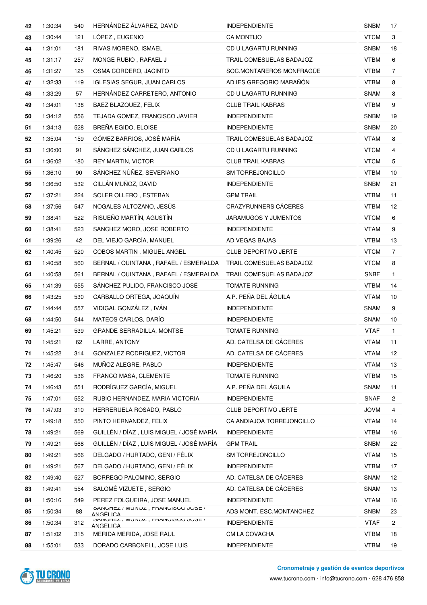| 42 | 1:30:34 | 540 | HERNÁNDEZ ÁLVAREZ, DAVID                           | <b>INDEPENDIENTE</b>        | <b>SNBM</b> | 17             |
|----|---------|-----|----------------------------------------------------|-----------------------------|-------------|----------------|
| 43 | 1:30:44 | 121 | LÓPEZ, EUGENIO                                     | <b>CA MONTIJO</b>           | <b>VTCM</b> | 3              |
| 44 | 1:31:01 | 181 | RIVAS MORENO, ISMAEL                               | CD U LAGARTU RUNNING        | <b>SNBM</b> | 18             |
| 45 | 1:31:17 | 257 | MONGE RUBIO, RAFAEL J                              | TRAIL COMESUELAS BADAJOZ    | <b>VTBM</b> | 6              |
| 46 | 1:31:27 | 125 | OSMA CORDERO, JACINTO                              | SOC.MONTAÑEROS MONFRAGÜE    | <b>VTBM</b> | 7              |
| 47 | 1:32:33 | 119 | <b>IGLESIAS SEGUR, JUAN CARLOS</b>                 | AD IES GREGORIO MARAÑÓN     | <b>VTBM</b> | 8              |
| 48 | 1:33:29 | 57  | HERNÁNDEZ CARRETERO, ANTONIO                       | CD U LAGARTU RUNNING        | <b>SNAM</b> | 8              |
| 49 | 1:34:01 | 138 | BAEZ BLAZQUEZ, FELIX                               | <b>CLUB TRAIL KABRAS</b>    | <b>VTBM</b> | 9              |
| 50 | 1:34:12 | 556 | TEJADA GOMEZ, FRANCISCO JAVIER                     | <b>INDEPENDIENTE</b>        | <b>SNBM</b> | 19             |
| 51 | 1:34:13 | 528 | BREÑA EGIDO, ELOISE                                | <b>INDEPENDIENTE</b>        | <b>SNBM</b> | 20             |
| 52 | 1:35:04 | 159 | GÓMEZ BARRIOS, JOSÉ MARÍA                          | TRAIL COMESUELAS BADAJOZ    | <b>VTAM</b> | 8              |
| 53 | 1:36:00 | 91  | SÁNCHEZ SÁNCHEZ, JUAN CARLOS                       | CD U LAGARTU RUNNING        | <b>VTCM</b> | 4              |
| 54 | 1:36:02 | 180 | <b>REY MARTIN, VICTOR</b>                          | <b>CLUB TRAIL KABRAS</b>    | <b>VTCM</b> | 5              |
| 55 | 1:36:10 | 90  | SÁNCHEZ NÚÑEZ, SEVERIANO                           | <b>SM TORREJONCILLO</b>     | <b>VTBM</b> | 10             |
| 56 | 1:36:50 | 532 | CILLÁN MUÑOZ, DAVID                                | <b>INDEPENDIENTE</b>        | <b>SNBM</b> | 21             |
| 57 | 1:37:21 | 224 | SOLER OLLERO, ESTEBAN                              | <b>GPM TRAIL</b>            | <b>VTBM</b> | 11             |
| 58 | 1:37:56 | 547 | NOGALES ALTOZANO, JESÚS                            | CRAZYRUNNERS CÁCERES        | VTBM        | 12             |
| 59 | 1:38:41 | 522 | RISUEÑO MARTÍN, AGUSTÍN                            | <b>JARAMUGOS Y JUMENTOS</b> | <b>VTCM</b> | 6              |
| 60 | 1:38:41 | 523 | SANCHEZ MORO, JOSE ROBERTO                         | <b>INDEPENDIENTE</b>        | <b>VTAM</b> | 9              |
| 61 | 1:39:26 | 42  | DEL VIEJO GARCÍA, MANUEL                           | AD VEGAS BAJAS              | <b>VTBM</b> | 13             |
| 62 | 1:40:45 | 520 | COBOS MARTIN, MIGUEL ANGEL                         | <b>CLUB DEPORTIVO JERTE</b> | <b>VTCM</b> | $\overline{7}$ |
| 63 | 1:40:58 | 560 | BERNAL / QUINTANA, RAFAEL / ESMERALDA              | TRAIL COMESUELAS BADAJOZ    | <b>VTCM</b> | 8              |
| 64 | 1:40:58 | 561 | BERNAL / QUINTANA, RAFAEL / ESMERALDA              | TRAIL COMESUELAS BADAJOZ    | <b>SNBF</b> | $\mathbf{1}$   |
| 65 | 1:41:39 | 555 | SÁNCHEZ PULIDO, FRANCISCO JOSÉ                     | <b>TOMATE RUNNING</b>       | <b>VTBM</b> | 14             |
| 66 | 1:43:25 | 530 | CARBALLO ORTEGA, JOAQUÍN                           | A.P. PEÑA DEL ÁGUILA        | <b>VTAM</b> | 10             |
| 67 | 1:44:44 | 557 | VIDIGAL GONZÁLEZ, IVÁN                             | <b>INDEPENDIENTE</b>        | <b>SNAM</b> | 9              |
| 68 | 1:44:50 | 544 | MATEOS CARLOS, DARÍO                               | <b>INDEPENDIENTE</b>        | <b>SNAM</b> | 10             |
| 69 | 1:45:21 | 539 | <b>GRANDE SERRADILLA, MONTSE</b>                   | <b>TOMATE RUNNING</b>       | <b>VTAF</b> | $\mathbf{1}$   |
| 70 | 1:45:21 | 62  | LARRE, ANTONY                                      | AD. CATELSA DE CÁCERES      | <b>VTAM</b> | 11             |
| 71 | 1:45:22 | 314 | GONZALEZ RODRIGUEZ, VICTOR                         | AD. CATELSA DE CÁCERES      | <b>VTAM</b> | 12             |
| 72 | 1:45:47 | 546 | MUÑOZ ALEGRE, PABLO                                | <b>INDEPENDIENTE</b>        | <b>VTAM</b> | 13             |
| 73 | 1:46:20 | 536 | FRANCO MASA, CLEMENTE                              | <b>TOMATE RUNNING</b>       | <b>VTBM</b> | 15             |
| 74 | 1:46:43 | 551 | RODRÍGUEZ GARCÍA, MIGUEL                           | A.P. PEÑA DEL ÁGUILA        | <b>SNAM</b> | 11             |
| 75 | 1:47:01 | 552 | RUBIO HERNANDEZ, MARIA VICTORIA                    | <b>INDEPENDIENTE</b>        | <b>SNAF</b> | 2              |
| 76 | 1:47:03 | 310 | HERRERUELA ROSADO, PABLO                           | <b>CLUB DEPORTIVO JERTE</b> | <b>JOVM</b> | 4              |
| 77 | 1:49:18 | 550 | PINTO HERNANDEZ, FELIX                             | CA ANDIAJOA TORREJONCILLO   | <b>VTAM</b> | 14             |
| 78 | 1:49:21 | 569 | GUILLÉN / DÍAZ, LUIS MIGUEL / JOSÉ MARÍA           | <b>INDEPENDIENTE</b>        | <b>VTBM</b> | 16             |
| 79 | 1:49:21 | 568 | GUILLÉN / DÍAZ, LUIS MIGUEL / JOSÉ MARÍA           | <b>GPM TRAIL</b>            | <b>SNBM</b> | 22             |
| 80 | 1:49:21 | 566 | DELGADO / HURTADO, GENI / FÉLIX                    | SM TORREJONCILLO            | <b>VTAM</b> | 15             |
| 81 | 1:49:21 | 567 | DELGADO / HURTADO, GENI / FÉLIX                    | INDEPENDIENTE               | <b>VTBM</b> | 17             |
| 82 | 1:49:40 | 527 | BORREGO PALOMINO, SERGIO                           | AD. CATELSA DE CÁCERES      | <b>SNAM</b> | 12             |
| 83 | 1:49:41 | 554 | SALOMÉ VIZUETE, SERGIO                             | AD. CATELSA DE CÁCERES      | SNAM        | 13             |
| 84 | 1:50:16 | 549 | PEREZ FOLGUEIRA, JOSE MANUEL                       | INDEPENDIENTE               | <b>VTAM</b> | 16             |
| 85 | 1:50:34 | 88  | JAINUMEZ / IVIUINUZ, FRAINUIJUU JUJE /<br>ANGELICA | ADS MONT. ESC.MONTANCHEZ    | <b>SNBM</b> | 23             |
| 86 | 1:50:34 | 312 | JAINUMEZ / IVIUINUZ, FRAINUIJUU JUJE /<br>ANGELICA | <b>INDEPENDIENTE</b>        | <b>VTAF</b> | $\overline{c}$ |
| 87 | 1:51:02 | 315 | MERIDA MERIDA, JOSE RAUL                           | CM LA COVACHA               | <b>VTBM</b> | 18             |
| 88 | 1:55:01 | 533 | DORADO CARBONELL, JOSE LUIS                        | <b>INDEPENDIENTE</b>        | <b>VTBM</b> | 19             |

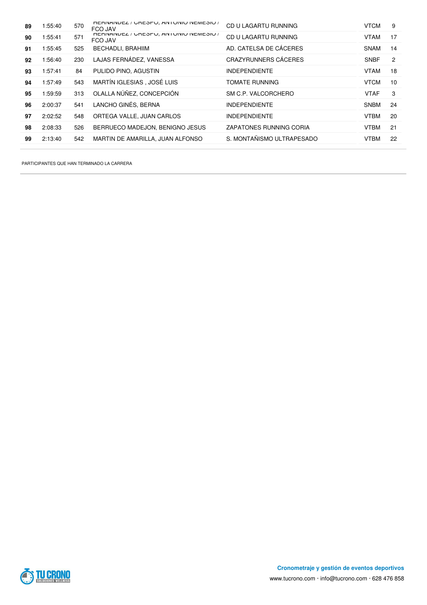| 89 | 1:55:40 | 570 | HERINAINDEZ / URESPU, AINTUINIU INEIVIESIU /<br>FCO JAV | CD U LAGARTU RUNNING        | <b>VTCM</b> | 9              |
|----|---------|-----|---------------------------------------------------------|-----------------------------|-------------|----------------|
| 90 | 1:55:41 | 571 | HERINAINDEZ / URESPU, AIN I UINIU INEMESIU /<br>FCO JAV | CD U LAGARTU RUNNING        | <b>VTAM</b> | 17             |
| 91 | 1:55:45 | 525 | <b>BECHADLI, BRAHIIM</b>                                | AD. CATELSA DE CÁCERES      | <b>SNAM</b> | 14             |
| 92 | 1:56:40 | 230 | LAJAS FERNÁDEZ, VANESSA                                 | <b>CRAZYRUNNERS CÁCERES</b> | <b>SNBF</b> | $\overline{c}$ |
| 93 | 1:57:41 | 84  | PULIDO PINO, AGUSTIN                                    | <b>INDEPENDIENTE</b>        | <b>VTAM</b> | 18             |
| 94 | 1:57:49 | 543 | MARTÍN IGLESIAS, JOSÉ LUIS                              | TOMATE RUNNING              | <b>VTCM</b> | 10             |
| 95 | 1:59:59 | 313 | OLALLA NÚÑEZ, CONCEPCIÓN                                | SM C.P. VALCORCHERO         | <b>VTAF</b> | 3              |
| 96 | 2:00:37 | 541 | LANCHO GINÉS, BERNA                                     | <b>INDEPENDIENTE</b>        | <b>SNBM</b> | 24             |
| 97 | 2:02:52 | 548 | ORTEGA VALLE, JUAN CARLOS                               | <b>INDEPENDIENTE</b>        | <b>VTBM</b> | 20             |
| 98 | 2:08:33 | 526 | BERRUECO MADEJON, BENIGNO JESUS                         | ZAPATONES RUNNING CORIA     | <b>VTBM</b> | 21             |
| 99 | 2:13:40 | 542 | MARTIN DE AMARILLA, JUAN ALFONSO                        | S. MONTAÑISMO ULTRAPESADO   | VTBM        | 22             |

PARTICIPANTES QUE HAN TERMINADO LA CARRERA

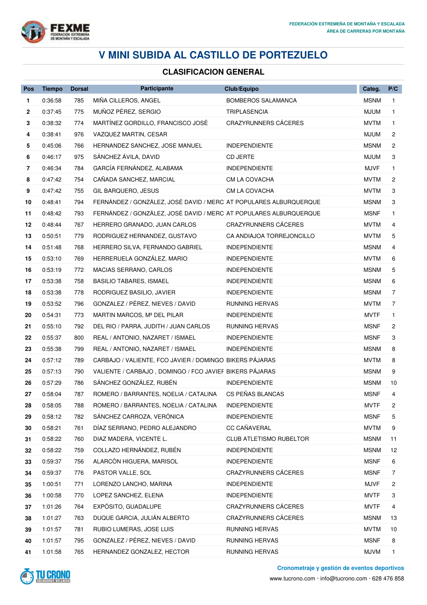

## **V MINI SUBIDA AL CASTILLO DE PORTEZUELO**

## **CLASIFICACION GENERAL**

| Pos                      | <b>Tiempo</b> | <b>Dorsal</b> | Participante                                                      | Club/Equipo                    | Categ.      | P/C            |
|--------------------------|---------------|---------------|-------------------------------------------------------------------|--------------------------------|-------------|----------------|
| 1                        | 0:36:58       | 785           | MIÑA CILLEROS, ANGEL                                              | <b>BOMBEROS SALAMANCA</b>      | <b>MSNM</b> | $\mathbf{1}$   |
| 2                        | 0:37:45       | 775           | MUÑOZ PÉREZ, SERGIO                                               | <b>TRIPLASENCIA</b>            | <b>MJUM</b> | $\mathbf{1}$   |
| 3                        | 0:38:32       | 774           | MARTÍNEZ GORDILLO, FRANCISCO JOSÉ                                 | CRAZYRUNNERS CÁCERES           | <b>MVTM</b> | 1              |
| 4                        | 0:38:41       | 976           | VAZQUEZ MARTIN, CESAR                                             |                                | <b>MJUM</b> | 2              |
| 5                        | 0:45:06       | 766           | HERNANDEZ SANCHEZ, JOSE MANUEL                                    | <b>INDEPENDIENTE</b>           | <b>MSNM</b> | 2              |
| 6                        | 0:46:17       | 975           | SÁNCHEZ ÁVILA, DAVID                                              | <b>CD JERTE</b>                | <b>MJUM</b> | 3              |
| $\overline{\phantom{a}}$ | 0:46:34       | 784           | GARCÍA FERNÁNDEZ, ALABAMA                                         | <b>INDEPENDIENTE</b>           | <b>MJVF</b> | 1              |
| 8                        | 0:47:42       | 754           | CAÑADA SANCHEZ, MARCIAL                                           | CM LA COVACHA                  | <b>MVTM</b> | 2              |
| 9                        | 0:47:42       | 755           | GIL BARQUERO, JESUS                                               | CM LA COVACHA                  | <b>MVTM</b> | 3              |
| 10                       | 0:48:41       | 794           | FERNÁNDEZ / GONZÁLEZ, JOSÉ DAVID / MERC AT POPULARES ALBURQUERQUE |                                | <b>MSNM</b> | 3              |
| 11                       | 0:48:42       | 793           | FERNÁNDEZ / GONZÁLEZ, JOSÉ DAVID / MERC AT POPULARES ALBURQUERQUE |                                | <b>MSNF</b> | $\mathbf{1}$   |
| 12                       | 0:48:44       | 767           | HERRERO GRANADO, JUAN CARLOS                                      | <b>CRAZYRUNNERS CÁCERES</b>    | <b>MVTM</b> | 4              |
| 13                       | 0:50:51       | 779           | RODRIGUEZ HERNANDEZ, GUSTAVO                                      | CA ANDIAJOA TORREJONCILLO      | <b>MVTM</b> | 5              |
| 14                       | 0:51:48       | 768           | HERRERO SILVA, FERNANDO GABRIEL                                   | <b>INDEPENDIENTE</b>           | <b>MSNM</b> | 4              |
| 15                       | 0:53:10       | 769           | HERRERUELA GONZÁLEZ, MARIO                                        | <b>INDEPENDIENTE</b>           | <b>MVTM</b> | 6              |
| 16                       | 0:53:19       | 772           | MACIAS SERRANO, CARLOS                                            | <b>INDEPENDIENTE</b>           | <b>MSNM</b> | 5              |
| 17                       | 0:53:38       | 758           | <b>BASILIO TABARES, ISMAEL</b>                                    | <b>INDEPENDIENTE</b>           | <b>MSNM</b> | 6              |
| 18                       | 0:53:38       | 778           | RODRIGUEZ BASILIO, JAVIER                                         | <b>INDEPENDIENTE</b>           | <b>MSNM</b> | $\overline{7}$ |
| 19                       | 0:53:52       | 796           | GONZALEZ / PÉREZ, NIEVES / DAVID                                  | <b>RUNNING HERVAS</b>          | <b>MVTM</b> | 7              |
| 20                       | 0:54:31       | 773           | MARTIN MARCOS, Mª DEL PILAR                                       | <b>INDEPENDIENTE</b>           | <b>MVTF</b> | 1              |
| 21                       | 0:55:10       | 792           | DEL RIO / PARRA, JUDITH / JUAN CARLOS                             | RUNNING HERVAS                 | <b>MSNF</b> | 2              |
| 22                       | 0:55:37       | 800           | REAL / ANTONIO, NAZARET / ISMAEL                                  | <b>INDEPENDIENTE</b>           | <b>MSNF</b> | 3              |
| 23                       | 0:55:38       | 799           | REAL / ANTONIO, NAZARET / ISMAEL                                  | <b>INDEPENDIENTE</b>           | <b>MSNM</b> | 8              |
| 24                       | 0:57:12       | 789           | CARBAJO / VALIENTE, FCO JAVIER / DOMINGO BIKERS PAJARAS           |                                | <b>MVTM</b> | 8              |
| 25                       | 0:57:13       | 790           | VALIENTE / CARBAJO, DOMINGO / FCO JAVIEF BIKERS PÁJARAS           |                                | <b>MSNM</b> | 9              |
| 26                       | 0:57:29       | 786           | SÁNCHEZ GONZÁLEZ, RUBÉN                                           | <b>INDEPENDIENTE</b>           | <b>MSNM</b> | 10             |
| 27                       | 0:58:04       | 787           | ROMERO / BARRANTES, NOELIA / CATALINA                             | CS PEÑAS BLANCAS               | <b>MSNF</b> | 4              |
| 28                       | 0:58:05       | 788           | ROMERO / BARRANTES, NOELIA / CATALINA INDEPENDIENTE               |                                | <b>MVTF</b> | 2              |
| 29                       | 0:58:12       | 782           | SÁNCHEZ CARROZA, VERÓNICA                                         | <b>INDEPENDIENTE</b>           | <b>MSNF</b> | 5              |
| 30                       | 0:58:21       | 761           | DÍAZ SERRANO, PEDRO ALEJANDRO                                     | CC CAÑAVERAL                   | <b>MVTM</b> | 9              |
| 31                       | 0:58:22       | 760           | DIAZ MADERA, VICENTE L.                                           | <b>CLUB ATLETISMO RUBELTOR</b> | <b>MSNM</b> | 11             |
| 32                       | 0:58:22       | 759           | COLLAZO HERNÁNDEZ, RUBÉN                                          | <b>INDEPENDIENTE</b>           | <b>MSNM</b> | 12             |
| 33                       | 0:59:37       | 756           | ALARCÓN HIGUERA, MARISOL                                          | <b>INDEPENDIENTE</b>           | <b>MSNF</b> | 6              |
| 34                       | 0:59:37       | 776           | PASTOR VALLE, SOL                                                 | CRAZYRUNNERS CÁCERES           | <b>MSNF</b> | 7              |
| 35                       | 1:00:51       | 771           | LORENZO LANCHO, MARINA                                            | <b>INDEPENDIENTE</b>           | <b>MJVF</b> | $\overline{c}$ |
| 36                       | 1:00:58       | 770           | LOPEZ SANCHEZ, ELENA                                              | <b>INDEPENDIENTE</b>           | <b>MVTF</b> | 3              |
| 37                       | 1:01:26       | 764           | EXPÓSITO, GUADALUPE                                               | CRAZYRUNNERS CÁCERES           | <b>MVTF</b> | 4              |
| 38                       | 1:01:27       | 763           | DUQUE GARCIA, JULIÁN ALBERTO                                      | CRAZYRUNNERS CÁCERES           | <b>MSNM</b> | 13             |
| 39                       | 1:01:57       | 781           | RUBIO LUMERAS, JOSE LUIS                                          | RUNNING HERVAS                 | <b>MVTM</b> | 10             |
| 40                       | 1:01:57       | 795           | GONZALEZ / PÉREZ, NIEVES / DAVID                                  | RUNNING HERVAS                 | <b>MSNF</b> | 8              |
| 41                       | 1:01:58       | 765           | HERNANDEZ GONZALEZ, HECTOR                                        | RUNNING HERVAS                 | <b>MJVM</b> | 1              |



**Cronometraje y gestión de eventos deportivos**